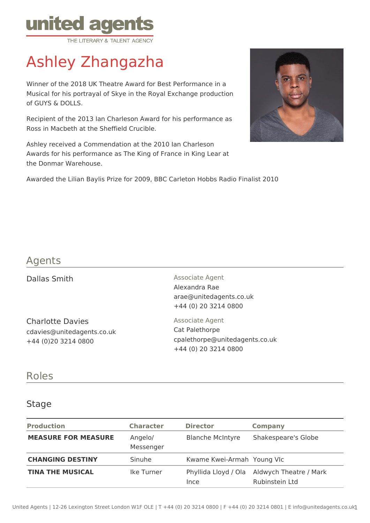

# Ashley Zhangazha

Winner of the 2018 UK Theatre Award for Best Performance in a Musical for his portrayal of Skye in the Royal Exchange production of GUYS & DOLLS.

Recipient of the 2013 Ian Charleson Award for his performance as Ross in Macbeth at the Sheffield Crucible.

Ashley received a Commendation at the 2010 Ian Charleson Awards for his performance as The King of France in King Lear at the Donmar Warehouse.



Awarded the Lilian Baylis Prize for 2009, BBC Carleton Hobbs Radio Finalist 2010

# Agents

Charlotte Davies cdavies@unitedagents.co.uk +44 (0)20 3214 0800

Dallas Smith Associate Agent Alexandra Rae arae@unitedagents.co.uk +44 (0) 20 3214 0800

> Associate Agent Cat Palethorpe cpalethorpe@unitedagents.co.uk +44 (0) 20 3214 0800

## Roles

#### Stage

| <b>Production</b>          | <b>Character</b>     | <b>Director</b>            | Company                                                       |
|----------------------------|----------------------|----------------------------|---------------------------------------------------------------|
| <b>MEASURE FOR MEASURE</b> | Angelo/<br>Messenger | <b>Blanche McIntyre</b>    | Shakespeare's Globe                                           |
| <b>CHANGING DESTINY</b>    | Sinuhe               | Kwame Kwei-Armah Young VIc |                                                               |
| <b>TINA THE MUSICAL</b>    | Ike Turner           | Ince                       | Phyllida Lloyd / Ola Aldwych Theatre / Mark<br>Rubinstein Ltd |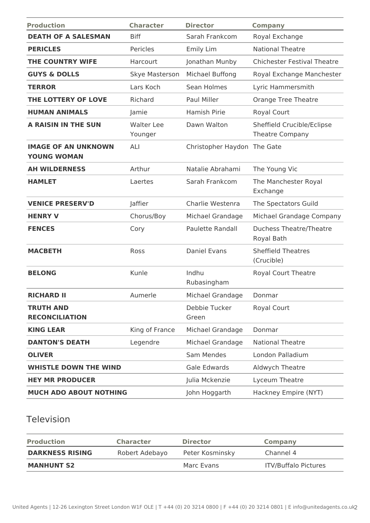| <b>Production</b>                                | <b>Character</b>             | <b>Director</b>             | <b>Company</b>                                       |
|--------------------------------------------------|------------------------------|-----------------------------|------------------------------------------------------|
| <b>DEATH OF A SALESMAN</b>                       | <b>Biff</b>                  | Sarah Frankcom              | Royal Exchange                                       |
| <b>PERICLES</b>                                  | Pericles                     | Emily Lim                   | <b>National Theatre</b>                              |
| THE COUNTRY WIFE                                 | Harcourt                     | Jonathan Munby              | <b>Chichester Festival Theatre</b>                   |
| <b>GUYS &amp; DOLLS</b>                          | Skye Masterson               | Michael Buffong             | Royal Exchange Manchester                            |
| <b>TERROR</b>                                    | Lars Koch                    | Sean Holmes                 | Lyric Hammersmith                                    |
| THE LOTTERY OF LOVE                              | Richard                      | Paul Miller                 | <b>Orange Tree Theatre</b>                           |
| <b>HUMAN ANIMALS</b>                             | Jamie                        | Hamish Pirie                | Royal Court                                          |
| A RAISIN IN THE SUN                              | <b>Walter Lee</b><br>Younger | Dawn Walton                 | Sheffield Crucible/Eclipse<br><b>Theatre Company</b> |
| <b>IMAGE OF AN UNKNOWN</b><br><b>YOUNG WOMAN</b> | ALI                          | Christopher Haydon The Gate |                                                      |
| <b>AH WILDERNESS</b>                             | Arthur                       | Natalie Abrahami            | The Young Vic                                        |
| <b>HAMLET</b>                                    | Laertes                      | Sarah Frankcom              | The Manchester Royal<br>Exchange                     |
| <b>VENICE PRESERV'D</b>                          | Jaffier                      | Charlie Westenra            | The Spectators Guild                                 |
| <b>HENRY V</b>                                   | Chorus/Boy                   | Michael Grandage            | Michael Grandage Company                             |
| <b>FENCES</b>                                    | Cory                         | Paulette Randall            | <b>Duchess Theatre/Theatre</b><br>Royal Bath         |
| <b>MACBETH</b>                                   | Ross                         | <b>Daniel Evans</b>         | <b>Sheffield Theatres</b><br>(Crucible)              |
| <b>BELONG</b>                                    | Kunle                        | Indhu<br>Rubasingham        | Royal Court Theatre                                  |
| <b>RICHARD II</b>                                | Aumerle                      | Michael Grandage            | Donmar                                               |
| <b>TRUTH AND</b><br><b>RECONCILIATION</b>        |                              | Debbie Tucker<br>Green      | Royal Court                                          |
| <b>KING LEAR</b>                                 | King of France               | Michael Grandage            | Donmar                                               |
| <b>DANTON'S DEATH</b>                            | Legendre                     | Michael Grandage            | <b>National Theatre</b>                              |
| <b>OLIVER</b>                                    |                              | Sam Mendes                  | London Palladium                                     |
| <b>WHISTLE DOWN THE WIND</b>                     |                              | Gale Edwards                | Aldwych Theatre                                      |
| <b>HEY MR PRODUCER</b>                           |                              | Julia Mckenzie              | Lyceum Theatre                                       |
| <b>MUCH ADO ABOUT NOTHING</b>                    |                              | John Hoggarth               | Hackney Empire (NYT)                                 |

### Television

| <b>Production</b>      | <b>Character</b> | <b>Director</b> | <b>Company</b>              |
|------------------------|------------------|-----------------|-----------------------------|
| <b>DARKNESS RISING</b> | Robert Adebayo   | Peter Kosminsky | Channel 4                   |
| <b>MANHUNT S2</b>      |                  | Marc Evans      | <b>ITV/Buffalo Pictures</b> |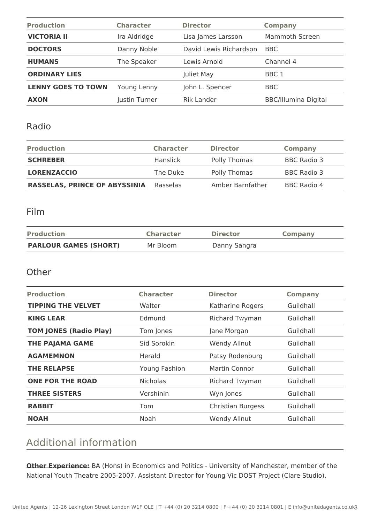| <b>Production</b>         | <b>Character</b> | <b>Director</b>        | <b>Company</b>              |
|---------------------------|------------------|------------------------|-----------------------------|
| <b>VICTORIA II</b>        | Ira Aldridge     | Lisa James Larsson     | Mammoth Screen              |
| <b>DOCTORS</b>            | Danny Noble      | David Lewis Richardson | BBC                         |
| <b>HUMANS</b>             | The Speaker      | Lewis Arnold           | Channel 4                   |
| <b>ORDINARY LIES</b>      |                  | Juliet May             | BBC 1                       |
| <b>LENNY GOES TO TOWN</b> | Young Lenny      | John L. Spencer        | BBC                         |
| <b>AXON</b>               | Justin Turner    | <b>Rik Lander</b>      | <b>BBC/Illumina Digital</b> |

#### Radio

| <b>Production</b>                    | <b>Character</b> | <b>Director</b>  | Company            |
|--------------------------------------|------------------|------------------|--------------------|
| <b>SCHREBER</b>                      | Hanslick         | Polly Thomas     | BBC Radio 3        |
| <b>LORENZACCIO</b>                   | The Duke         | Polly Thomas     | <b>BBC Radio 3</b> |
| <b>RASSELAS, PRINCE OF ABYSSINIA</b> | Rasselas         | Amber Barnfather | BBC Radio 4        |

### Film

| <b>Production</b>            | <b>Character</b> | <b>Director</b> | <b>Company</b> |
|------------------------------|------------------|-----------------|----------------|
| <b>PARLOUR GAMES (SHORT)</b> | Mr Bloom         | Danny Sangra    |                |

#### **Other**

| <b>Production</b>             | <b>Character</b> | <b>Director</b>          | <b>Company</b> |
|-------------------------------|------------------|--------------------------|----------------|
| <b>TIPPING THE VELVET</b>     | Walter           | Katharine Rogers         | Guildhall      |
| <b>KING LEAR</b>              | Edmund           | Richard Twyman           | Guildhall      |
| <b>TOM JONES (Radio Play)</b> | Tom Jones        | Jane Morgan              | Guildhall      |
| <b>THE PAJAMA GAME</b>        | Sid Sorokin      | Wendy Allnut             | Guildhall      |
| <b>AGAMEMNON</b>              | Herald           | Patsy Rodenburg          | Guildhall      |
| <b>THE RELAPSE</b>            | Young Fashion    | Martin Connor            | Guildhall      |
| <b>ONE FOR THE ROAD</b>       | <b>Nicholas</b>  | <b>Richard Twyman</b>    | Guildhall      |
| <b>THREE SISTERS</b>          | Vershinin        | Wyn Jones                | Guildhall      |
| <b>RABBIT</b>                 | Tom              | <b>Christian Burgess</b> | Guildhall      |
| <b>NOAH</b>                   | Noah             | Wendy Allnut             | Guildhall      |

# Additional information

**Other Experience:** BA (Hons) in Economics and Politics - University of Manchester, member of the National Youth Theatre 2005-2007, Assistant Director for Young Vic DOST Project (Clare Studio),